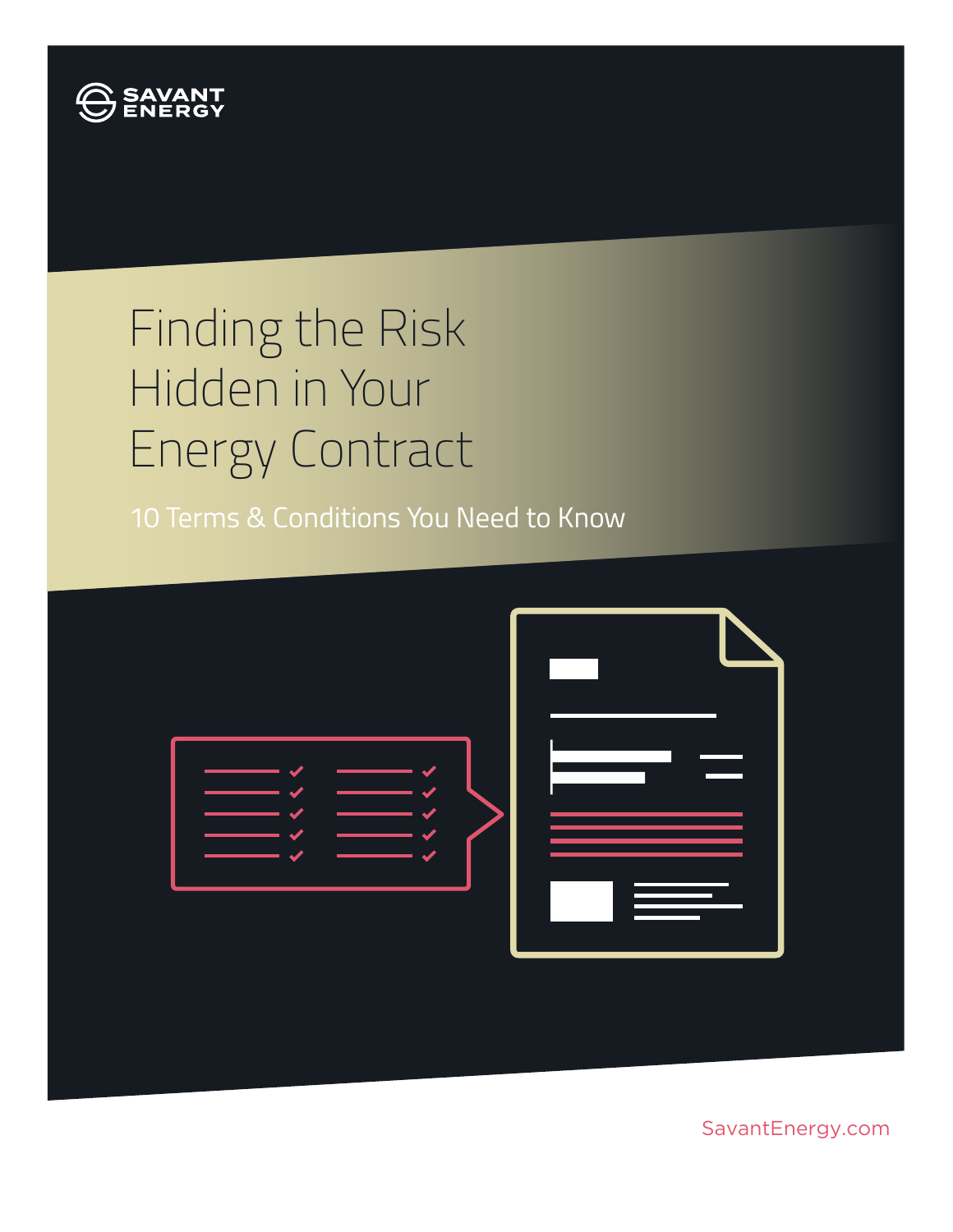

# Finding the Risk Hidden in Your Energy Contract

10 Terms & Conditions You Need to Know



SavantEnergy.com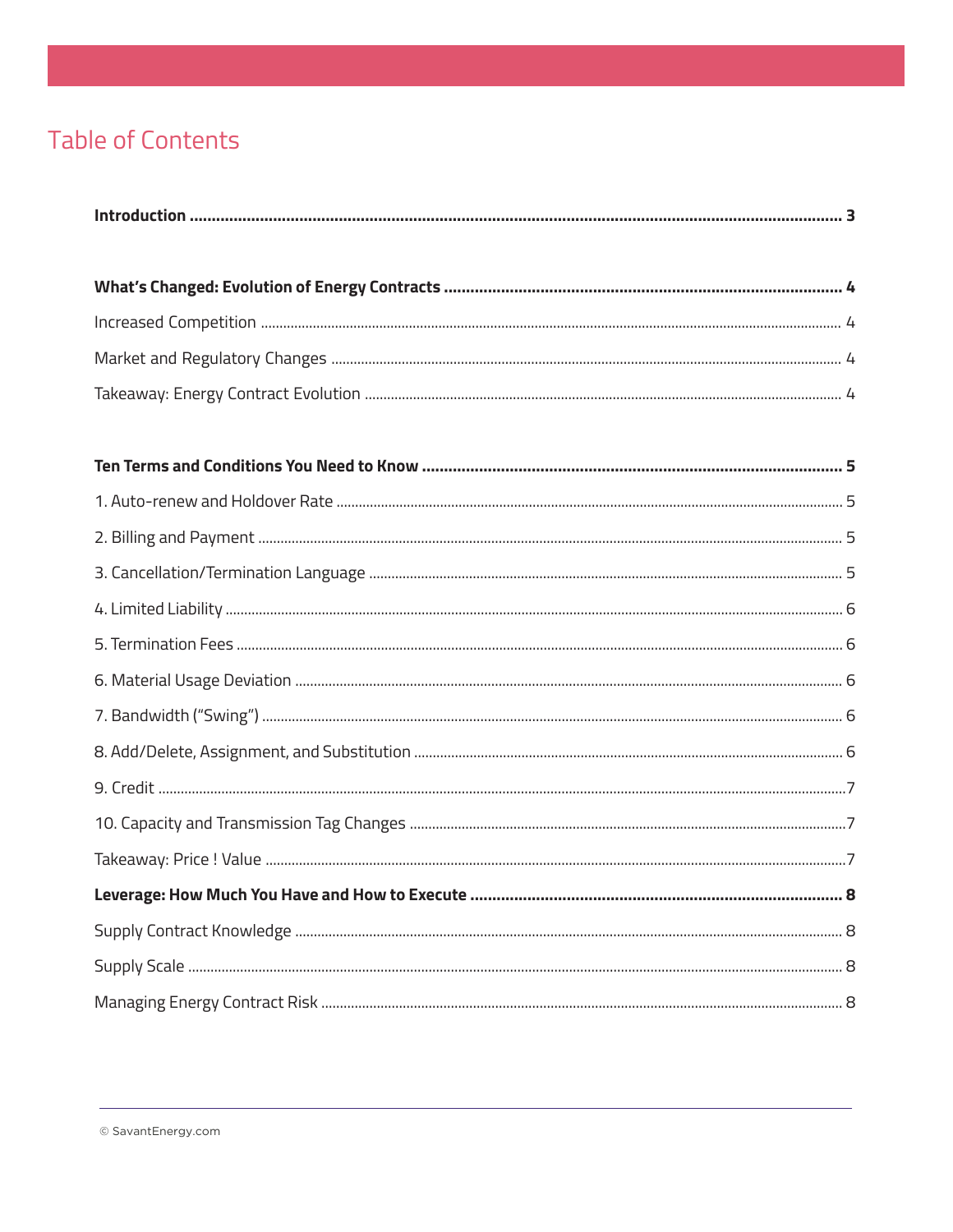# **Table of Contents**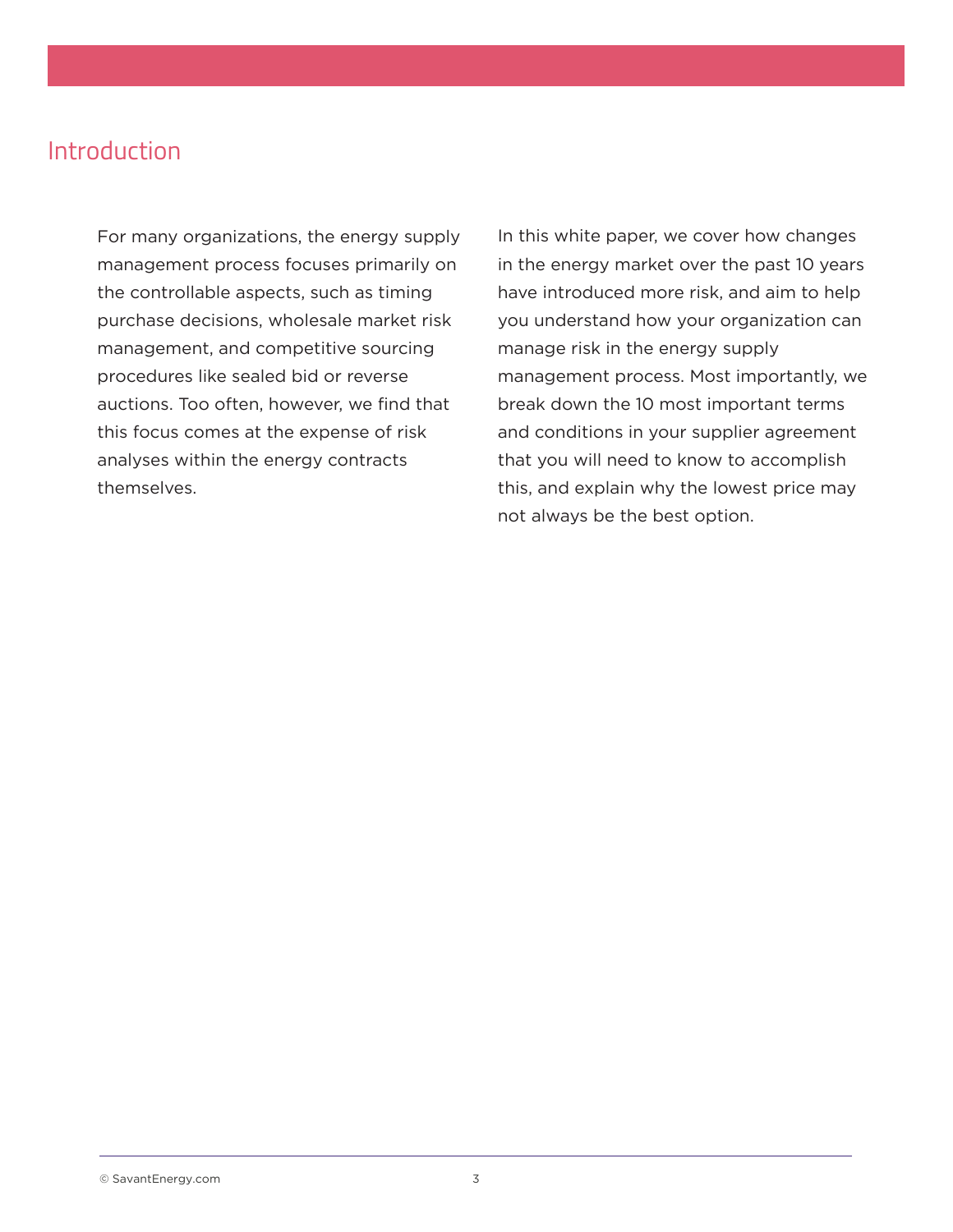## Introduction

For many organizations, the energy supply management process focuses primarily on the controllable aspects, such as timing purchase decisions, wholesale market risk management, and competitive sourcing procedures like sealed bid or reverse auctions. Too often, however, we find that this focus comes at the expense of risk analyses within the energy contracts themselves.

In this white paper, we cover how changes in the energy market over the past 10 years have introduced more risk, and aim to help you understand how your organization can manage risk in the energy supply management process. Most importantly, we break down the 10 most important terms and conditions in your supplier agreement that you will need to know to accomplish this, and explain why the lowest price may not always be the best option.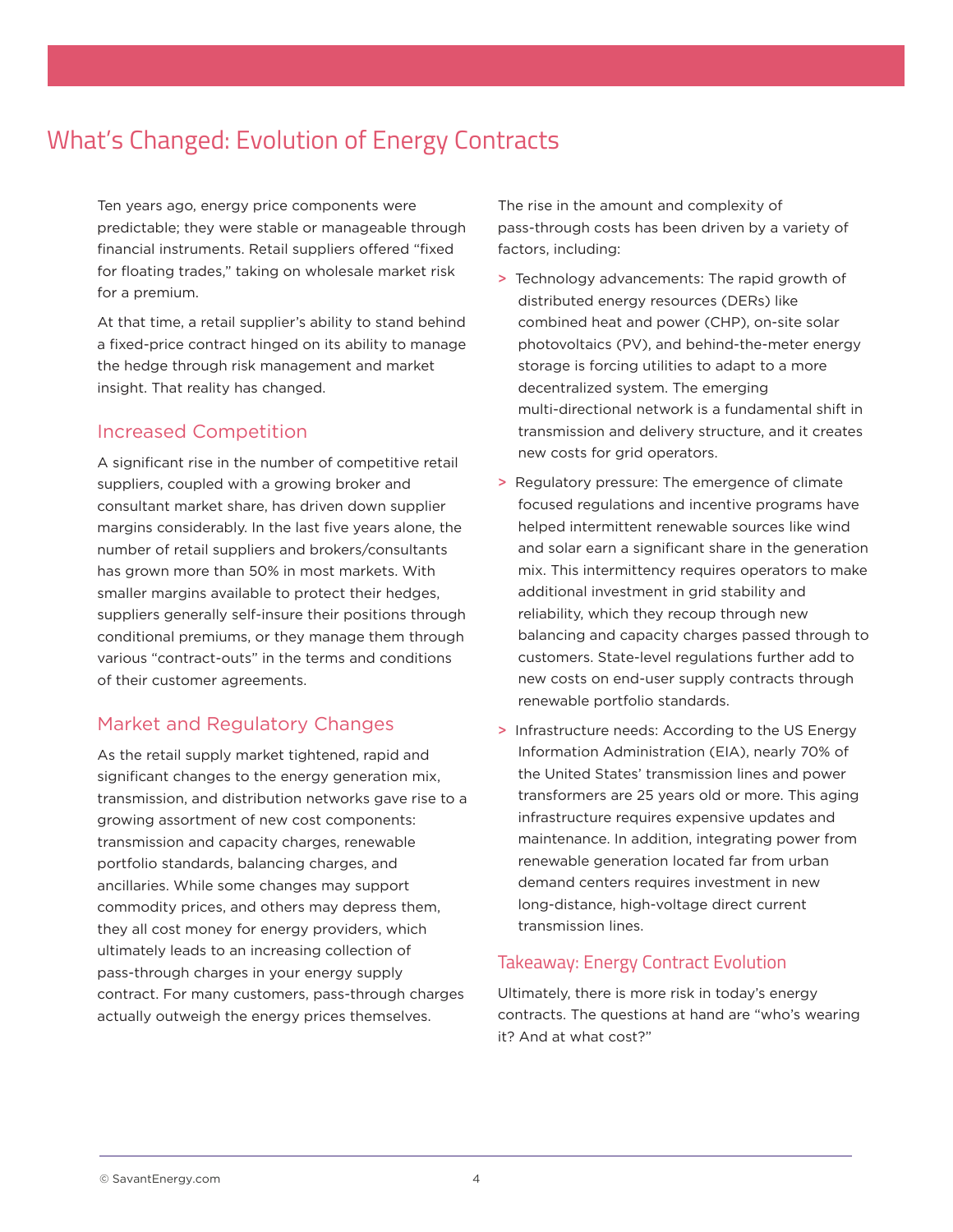## What's Changed: Evolution of Energy Contracts

Ten years ago, energy price components were predictable; they were stable or manageable through financial instruments. Retail suppliers offered "fixed for floating trades," taking on wholesale market risk for a premium.

At that time, a retail supplier's ability to stand behind a fixed-price contract hinged on its ability to manage the hedge through risk management and market insight. That reality has changed.

#### Increased Competition

A significant rise in the number of competitive retail suppliers, coupled with a growing broker and consultant market share, has driven down supplier margins considerably. In the last five years alone, the number of retail suppliers and brokers/consultants has grown more than 50% in most markets. With smaller margins available to protect their hedges, suppliers generally self-insure their positions through conditional premiums, or they manage them through various "contract-outs" in the terms and conditions of their customer agreements.

#### Market and Regulatory Changes

As the retail supply market tightened, rapid and significant changes to the energy generation mix, transmission, and distribution networks gave rise to a growing assortment of new cost components: transmission and capacity charges, renewable portfolio standards, balancing charges, and ancillaries. While some changes may support commodity prices, and others may depress them, they all cost money for energy providers, which ultimately leads to an increasing collection of pass-through charges in your energy supply contract. For many customers, pass-through charges actually outweigh the energy prices themselves.

The rise in the amount and complexity of pass-through costs has been driven by a variety of factors, including:

- > Technology advancements: The rapid growth of distributed energy resources (DERs) like combined heat and power (CHP), on-site solar photovoltaics (PV), and behind-the-meter energy storage is forcing utilities to adapt to a more decentralized system. The emerging multi-directional network is a fundamental shift in transmission and delivery structure, and it creates new costs for grid operators.
- > Regulatory pressure: The emergence of climate focused regulations and incentive programs have helped intermittent renewable sources like wind and solar earn a significant share in the generation mix. This intermittency requires operators to make additional investment in grid stability and reliability, which they recoup through new balancing and capacity charges passed through to customers. State-level regulations further add to new costs on end-user supply contracts through renewable portfolio standards.
- > Infrastructure needs: According to the US Energy Information Administration (EIA), nearly 70% of the United States' transmission lines and power transformers are 25 years old or more. This aging infrastructure requires expensive updates and maintenance. In addition, integrating power from renewable generation located far from urban demand centers requires investment in new long-distance, high-voltage direct current transmission lines.

#### Takeaway: Energy Contract Evolution

Ultimately, there is more risk in today's energy contracts. The questions at hand are "who's wearing it? And at what cost?"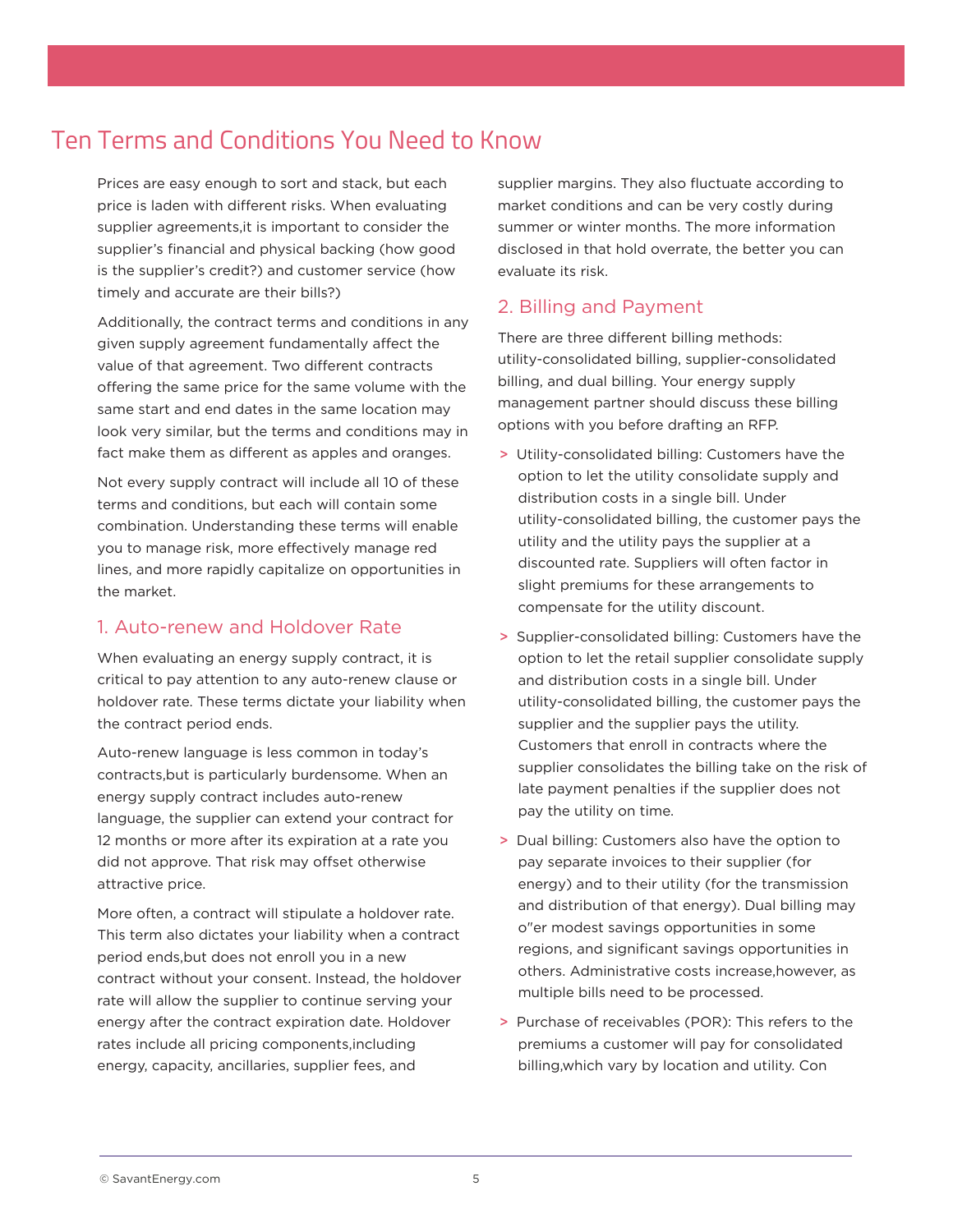## Ten Terms and Conditions You Need to Know

Prices are easy enough to sort and stack, but each price is laden with different risks. When evaluating supplier agreements,it is important to consider the supplier's financial and physical backing (how good is the supplier's credit?) and customer service (how timely and accurate are their bills?)

Additionally, the contract terms and conditions in any given supply agreement fundamentally affect the value of that agreement. Two different contracts offering the same price for the same volume with the same start and end dates in the same location may look very similar, but the terms and conditions may in fact make them as different as apples and oranges.

Not every supply contract will include all 10 of these terms and conditions, but each will contain some combination. Understanding these terms will enable you to manage risk, more effectively manage red lines, and more rapidly capitalize on opportunities in the market.

#### 1. Auto-renew and Holdover Rate

When evaluating an energy supply contract, it is critical to pay attention to any auto-renew clause or holdover rate. These terms dictate your liability when the contract period ends.

Auto-renew language is less common in today's contracts,but is particularly burdensome. When an energy supply contract includes auto-renew language, the supplier can extend your contract for 12 months or more after its expiration at a rate you did not approve. That risk may offset otherwise attractive price.

More often, a contract will stipulate a holdover rate. This term also dictates your liability when a contract period ends,but does not enroll you in a new contract without your consent. Instead, the holdover rate will allow the supplier to continue serving your energy after the contract expiration date. Holdover rates include all pricing components,including energy, capacity, ancillaries, supplier fees, and

supplier margins. They also fluctuate according to market conditions and can be very costly during summer or winter months. The more information disclosed in that hold overrate, the better you can evaluate its risk.

#### 2. Billing and Payment

There are three different billing methods: utility-consolidated billing, supplier-consolidated billing, and dual billing. Your energy supply management partner should discuss these billing options with you before drafting an RFP.

- > Utility-consolidated billing: Customers have the option to let the utility consolidate supply and distribution costs in a single bill. Under utility-consolidated billing, the customer pays the utility and the utility pays the supplier at a discounted rate. Suppliers will often factor in slight premiums for these arrangements to compensate for the utility discount.
- > Supplier-consolidated billing: Customers have the option to let the retail supplier consolidate supply and distribution costs in a single bill. Under utility-consolidated billing, the customer pays the supplier and the supplier pays the utility. Customers that enroll in contracts where the supplier consolidates the billing take on the risk of late payment penalties if the supplier does not pay the utility on time.
- > Dual billing: Customers also have the option to pay separate invoices to their supplier (for energy) and to their utility (for the transmission and distribution of that energy). Dual billing may o"er modest savings opportunities in some regions, and significant savings opportunities in others. Administrative costs increase,however, as multiple bills need to be processed.
- > Purchase of receivables (POR): This refers to the premiums a customer will pay for consolidated billing,which vary by location and utility. Con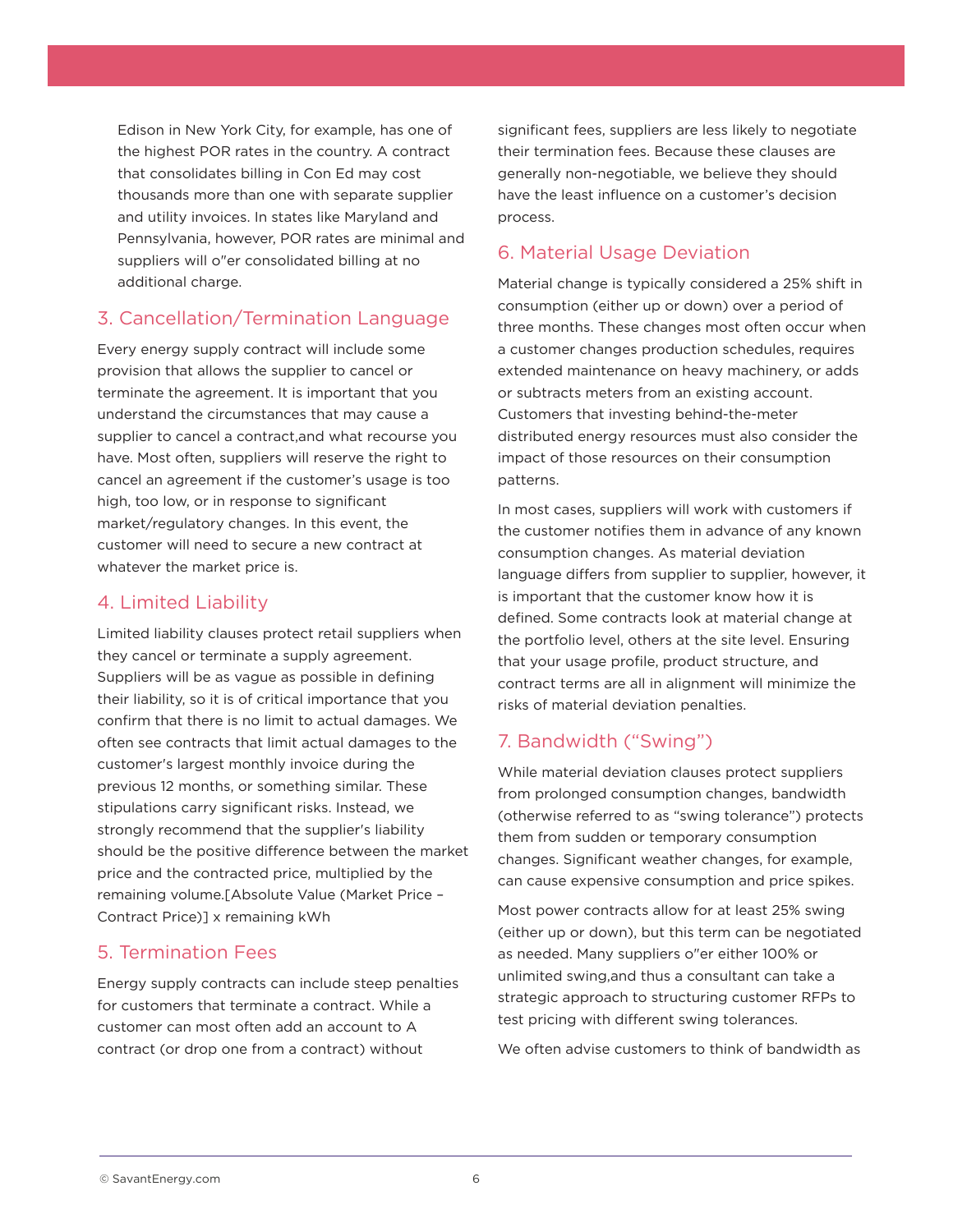Edison in New York City, for example, has one of the highest POR rates in the country. A contract that consolidates billing in Con Ed may cost thousands more than one with separate supplier and utility invoices. In states like Maryland and Pennsylvania, however, POR rates are minimal and suppliers will o"er consolidated billing at no additional charge.

#### 3. Cancellation/Termination Language

Every energy supply contract will include some provision that allows the supplier to cancel or terminate the agreement. It is important that you understand the circumstances that may cause a supplier to cancel a contract,and what recourse you have. Most often, suppliers will reserve the right to cancel an agreement if the customer's usage is too high, too low, or in response to significant market/regulatory changes. In this event, the customer will need to secure a new contract at whatever the market price is.

#### 4. Limited Liability

Limited liability clauses protect retail suppliers when they cancel or terminate a supply agreement. Suppliers will be as vague as possible in defining their liability, so it is of critical importance that you confirm that there is no limit to actual damages. We often see contracts that limit actual damages to the customer's largest monthly invoice during the previous 12 months, or something similar. These stipulations carry significant risks. Instead, we strongly recommend that the supplier's liability should be the positive difference between the market price and the contracted price, multiplied by the remaining volume.[Absolute Value (Market Price – Contract Price)] x remaining kWh

#### 5. Termination Fees

Energy supply contracts can include steep penalties for customers that terminate a contract. While a customer can most often add an account to A contract (or drop one from a contract) without

significant fees, suppliers are less likely to negotiate their termination fees. Because these clauses are generally non-negotiable, we believe they should have the least influence on a customer's decision process.

#### 6. Material Usage Deviation

Material change is typically considered a 25% shift in consumption (either up or down) over a period of three months. These changes most often occur when a customer changes production schedules, requires extended maintenance on heavy machinery, or adds or subtracts meters from an existing account. Customers that investing behind-the-meter distributed energy resources must also consider the impact of those resources on their consumption patterns.

In most cases, suppliers will work with customers if the customer notifies them in advance of any known consumption changes. As material deviation language differs from supplier to supplier, however, it is important that the customer know how it is defined. Some contracts look at material change at the portfolio level, others at the site level. Ensuring that your usage profile, product structure, and contract terms are all in alignment will minimize the risks of material deviation penalties.

## 7. Bandwidth ("Swing")

While material deviation clauses protect suppliers from prolonged consumption changes, bandwidth (otherwise referred to as "swing tolerance") protects them from sudden or temporary consumption changes. Significant weather changes, for example, can cause expensive consumption and price spikes.

Most power contracts allow for at least 25% swing (either up or down), but this term can be negotiated as needed. Many suppliers o"er either 100% or unlimited swing,and thus a consultant can take a strategic approach to structuring customer RFPs to test pricing with different swing tolerances.

We often advise customers to think of bandwidth as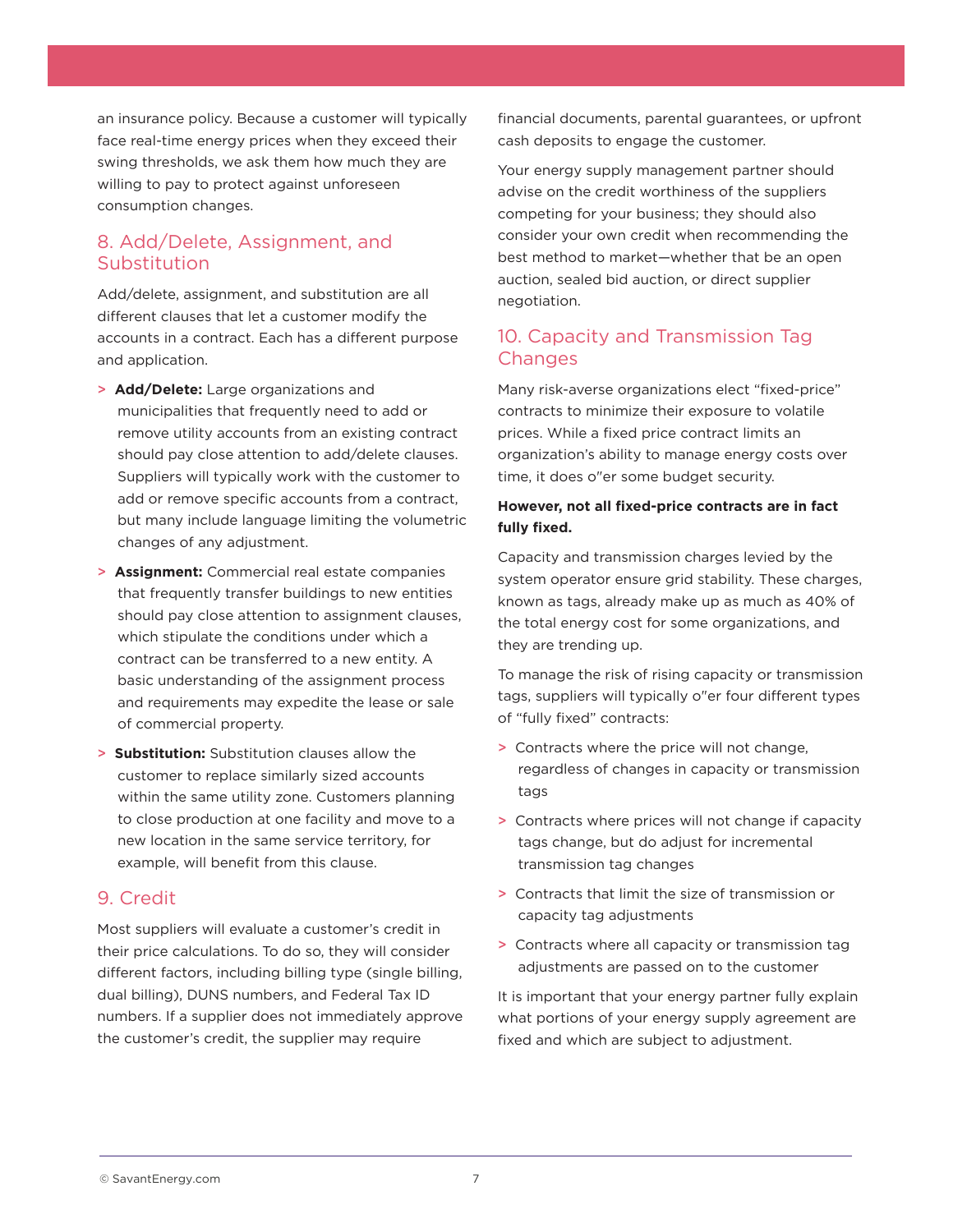an insurance policy. Because a customer will typically face real-time energy prices when they exceed their swing thresholds, we ask them how much they are willing to pay to protect against unforeseen consumption changes.

#### 8. Add/Delete, Assignment, and **Substitution**

Add/delete, assignment, and substitution are all different clauses that let a customer modify the accounts in a contract. Each has a different purpose and application.

- > **Add/Delete:** Large organizations and municipalities that frequently need to add or remove utility accounts from an existing contract should pay close attention to add/delete clauses. Suppliers will typically work with the customer to add or remove specific accounts from a contract, but many include language limiting the volumetric changes of any adjustment.
- > **Assignment:** Commercial real estate companies that frequently transfer buildings to new entities should pay close attention to assignment clauses, which stipulate the conditions under which a contract can be transferred to a new entity. A basic understanding of the assignment process and requirements may expedite the lease or sale of commercial property.
- > **Substitution:** Substitution clauses allow the customer to replace similarly sized accounts within the same utility zone. Customers planning to close production at one facility and move to a new location in the same service territory, for example, will benefit from this clause.

#### 9. Credit

Most suppliers will evaluate a customer's credit in their price calculations. To do so, they will consider different factors, including billing type (single billing, dual billing), DUNS numbers, and Federal Tax ID numbers. If a supplier does not immediately approve the customer's credit, the supplier may require

financial documents, parental guarantees, or upfront cash deposits to engage the customer.

Your energy supply management partner should advise on the credit worthiness of the suppliers competing for your business; they should also consider your own credit when recommending the best method to market—whether that be an open auction, sealed bid auction, or direct supplier negotiation.

#### 10. Capacity and Transmission Tag Changes

Many risk-averse organizations elect "fixed-price" contracts to minimize their exposure to volatile prices. While a fixed price contract limits an organization's ability to manage energy costs over time, it does o"er some budget security.

#### **However, not all fixed-price contracts are in fact fully fixed.**

Capacity and transmission charges levied by the system operator ensure grid stability. These charges, known as tags, already make up as much as 40% of the total energy cost for some organizations, and they are trending up.

To manage the risk of rising capacity or transmission tags, suppliers will typically o"er four different types of "fully fixed" contracts:

- > Contracts where the price will not change, regardless of changes in capacity or transmission tags
- > Contracts where prices will not change if capacity tags change, but do adjust for incremental transmission tag changes
- > Contracts that limit the size of transmission or capacity tag adjustments
- > Contracts where all capacity or transmission tag adjustments are passed on to the customer

It is important that your energy partner fully explain what portions of your energy supply agreement are fixed and which are subject to adjustment.